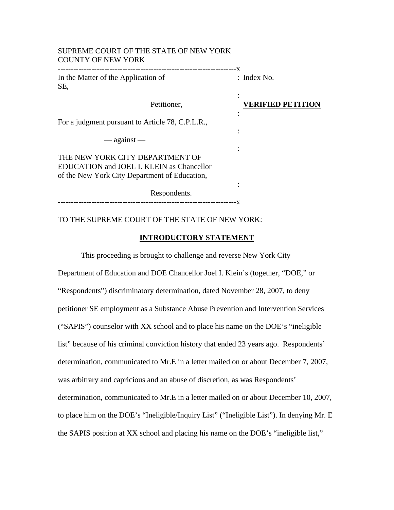| SUPREME COURT OF THE STATE OF NEW YORK<br><b>COUNTY OF NEW YORK</b>                                                           |                          |
|-------------------------------------------------------------------------------------------------------------------------------|--------------------------|
| In the Matter of the Application of<br>SE,                                                                                    | : Index No.              |
| Petitioner,                                                                                                                   | <b>VERIFIED PETITION</b> |
| For a judgment pursuant to Article 78, C.P.L.R.,                                                                              |                          |
| $-$ against $-$                                                                                                               |                          |
| THE NEW YORK CITY DEPARTMENT OF<br>EDUCATION and JOEL I. KLEIN as Chancellor<br>of the New York City Department of Education, |                          |
| Respondents.                                                                                                                  |                          |

# TO THE SUPREME COURT OF THE STATE OF NEW YORK:

SUPREME COURT OF THE STATE OF NEW YORK

# **INTRODUCTORY STATEMENT**

This proceeding is brought to challenge and reverse New York City Department of Education and DOE Chancellor Joel I. Klein's (together, "DOE," or "Respondents") discriminatory determination, dated November 28, 2007, to deny petitioner SE employment as a Substance Abuse Prevention and Intervention Services ("SAPIS") counselor with XX school and to place his name on the DOE's "ineligible list" because of his criminal conviction history that ended 23 years ago. Respondents' determination, communicated to Mr.E in a letter mailed on or about December 7, 2007, was arbitrary and capricious and an abuse of discretion, as was Respondents' determination, communicated to Mr.E in a letter mailed on or about December 10, 2007, to place him on the DOE's "Ineligible/Inquiry List" ("Ineligible List"). In denying Mr. E the SAPIS position at XX school and placing his name on the DOE's "ineligible list,"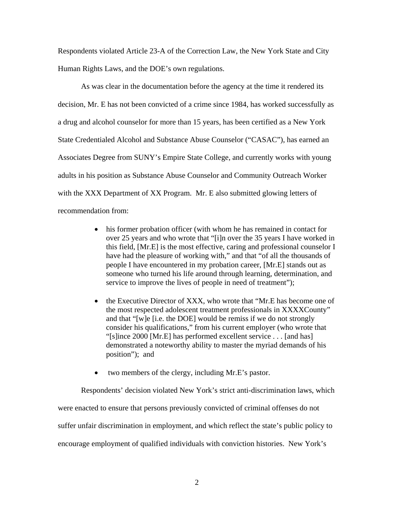Respondents violated Article 23-A of the Correction Law, the New York State and City Human Rights Laws, and the DOE's own regulations.

As was clear in the documentation before the agency at the time it rendered its decision, Mr. E has not been convicted of a crime since 1984, has worked successfully as a drug and alcohol counselor for more than 15 years, has been certified as a New York State Credentialed Alcohol and Substance Abuse Counselor ("CASAC"), has earned an Associates Degree from SUNY's Empire State College, and currently works with young adults in his position as Substance Abuse Counselor and Community Outreach Worker with the XXX Department of XX Program. Mr. E also submitted glowing letters of recommendation from:

- his former probation officer (with whom he has remained in contact for over 25 years and who wrote that "[i]n over the 35 years I have worked in this field, [Mr.E] is the most effective, caring and professional counselor I have had the pleasure of working with," and that "of all the thousands of people I have encountered in my probation career, [Mr.E] stands out as someone who turned his life around through learning, determination, and service to improve the lives of people in need of treatment");
- the Executive Director of XXX, who wrote that "Mr.E has become one of the most respected adolescent treatment professionals in XXXXCounty" and that "[w]e [i.e. the DOE] would be remiss if we do not strongly consider his qualifications," from his current employer (who wrote that "[s]ince 2000 [Mr.E] has performed excellent service . . . [and has] demonstrated a noteworthy ability to master the myriad demands of his position"); and
- two members of the clergy, including Mr.E's pastor.

Respondents' decision violated New York's strict anti-discrimination laws, which were enacted to ensure that persons previously convicted of criminal offenses do not suffer unfair discrimination in employment, and which reflect the state's public policy to encourage employment of qualified individuals with conviction histories. New York's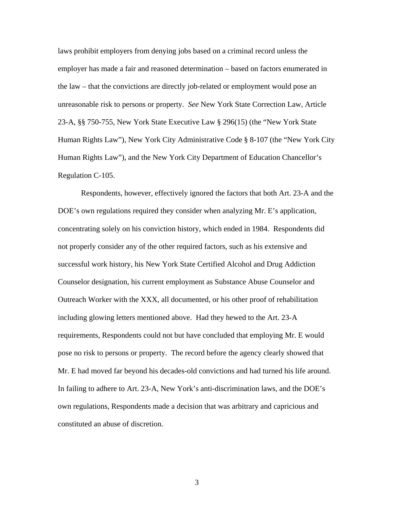laws prohibit employers from denying jobs based on a criminal record unless the employer has made a fair and reasoned determination – based on factors enumerated in the law – that the convictions are directly job-related or employment would pose an unreasonable risk to persons or property. *See* New York State Correction Law, Article 23-A, §§ 750-755, New York State Executive Law § 296(15) (the "New York State Human Rights Law"), New York City Administrative Code § 8-107 (the "New York City Human Rights Law"), and the New York City Department of Education Chancellor's Regulation C-105.

Respondents, however, effectively ignored the factors that both Art. 23-A and the DOE's own regulations required they consider when analyzing Mr. E's application, concentrating solely on his conviction history, which ended in 1984. Respondents did not properly consider any of the other required factors, such as his extensive and successful work history, his New York State Certified Alcohol and Drug Addiction Counselor designation, his current employment as Substance Abuse Counselor and Outreach Worker with the XXX, all documented, or his other proof of rehabilitation including glowing letters mentioned above. Had they hewed to the Art. 23-A requirements, Respondents could not but have concluded that employing Mr. E would pose no risk to persons or property. The record before the agency clearly showed that Mr. E had moved far beyond his decades-old convictions and had turned his life around. In failing to adhere to Art. 23-A, New York's anti-discrimination laws, and the DOE's own regulations, Respondents made a decision that was arbitrary and capricious and constituted an abuse of discretion.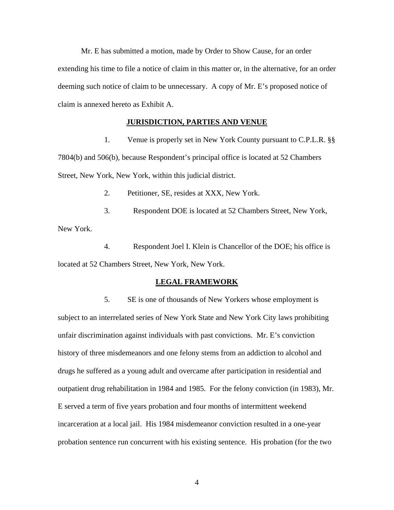Mr. E has submitted a motion, made by Order to Show Cause, for an order extending his time to file a notice of claim in this matter or, in the alternative, for an order deeming such notice of claim to be unnecessary. A copy of Mr. E's proposed notice of claim is annexed hereto as Exhibit A.

#### **JURISDICTION, PARTIES AND VENUE**

1. Venue is properly set in New York County pursuant to C.P.L.R. §§ 7804(b) and 506(b), because Respondent's principal office is located at 52 Chambers Street, New York, New York, within this judicial district.

2. Petitioner, SE, resides at XXX, New York.

3. Respondent DOE is located at 52 Chambers Street, New York, New York.

4. Respondent Joel I. Klein is Chancellor of the DOE; his office is located at 52 Chambers Street, New York, New York.

#### **LEGAL FRAMEWORK**

5. SE is one of thousands of New Yorkers whose employment is subject to an interrelated series of New York State and New York City laws prohibiting unfair discrimination against individuals with past convictions. Mr. E's conviction history of three misdemeanors and one felony stems from an addiction to alcohol and drugs he suffered as a young adult and overcame after participation in residential and outpatient drug rehabilitation in 1984 and 1985. For the felony conviction (in 1983), Mr. E served a term of five years probation and four months of intermittent weekend incarceration at a local jail. His 1984 misdemeanor conviction resulted in a one-year probation sentence run concurrent with his existing sentence. His probation (for the two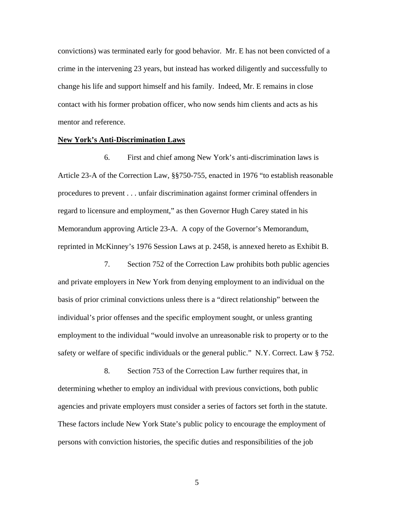convictions) was terminated early for good behavior. Mr. E has not been convicted of a crime in the intervening 23 years, but instead has worked diligently and successfully to change his life and support himself and his family. Indeed, Mr. E remains in close contact with his former probation officer, who now sends him clients and acts as his mentor and reference.

#### **New York's Anti-Discrimination Laws**

6. First and chief among New York's anti-discrimination laws is Article 23-A of the Correction Law, §§750-755, enacted in 1976 "to establish reasonable procedures to prevent . . . unfair discrimination against former criminal offenders in regard to licensure and employment," as then Governor Hugh Carey stated in his Memorandum approving Article 23-A. A copy of the Governor's Memorandum, reprinted in McKinney's 1976 Session Laws at p. 2458, is annexed hereto as Exhibit B.

7. Section 752 of the Correction Law prohibits both public agencies and private employers in New York from denying employment to an individual on the basis of prior criminal convictions unless there is a "direct relationship" between the individual's prior offenses and the specific employment sought, or unless granting employment to the individual "would involve an unreasonable risk to property or to the safety or welfare of specific individuals or the general public." N.Y. Correct. Law § 752.

8. Section 753 of the Correction Law further requires that, in determining whether to employ an individual with previous convictions, both public agencies and private employers must consider a series of factors set forth in the statute. These factors include New York State's public policy to encourage the employment of persons with conviction histories, the specific duties and responsibilities of the job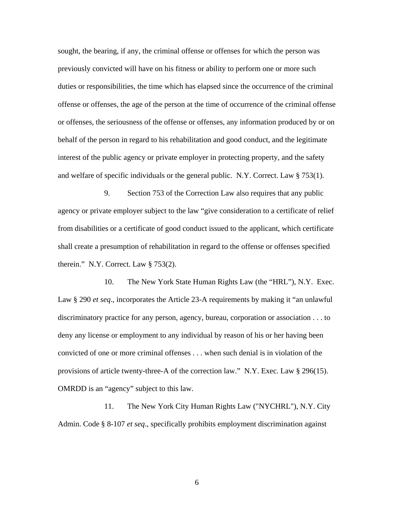sought, the bearing, if any, the criminal offense or offenses for which the person was previously convicted will have on his fitness or ability to perform one or more such duties or responsibilities, the time which has elapsed since the occurrence of the criminal offense or offenses, the age of the person at the time of occurrence of the criminal offense or offenses, the seriousness of the offense or offenses, any information produced by or on behalf of the person in regard to his rehabilitation and good conduct, and the legitimate interest of the public agency or private employer in protecting property, and the safety and welfare of specific individuals or the general public. N.Y. Correct. Law § 753(1).

9. Section 753 of the Correction Law also requires that any public agency or private employer subject to the law "give consideration to a certificate of relief from disabilities or a certificate of good conduct issued to the applicant, which certificate shall create a presumption of rehabilitation in regard to the offense or offenses specified therein." N.Y. Correct. Law  $\S 753(2)$ .

10. The New York State Human Rights Law (the "HRL"), N.Y. Exec. Law § 290 *et seq*., incorporates the Article 23-A requirements by making it "an unlawful discriminatory practice for any person, agency, bureau, corporation or association . . . to deny any license or employment to any individual by reason of his or her having been convicted of one or more criminal offenses . . . when such denial is in violation of the provisions of article twenty-three-A of the correction law." N.Y. Exec. Law § 296(15). OMRDD is an "agency" subject to this law.

11. The New York City Human Rights Law ("NYCHRL"), N.Y. City Admin. Code § 8-107 *et seq*., specifically prohibits employment discrimination against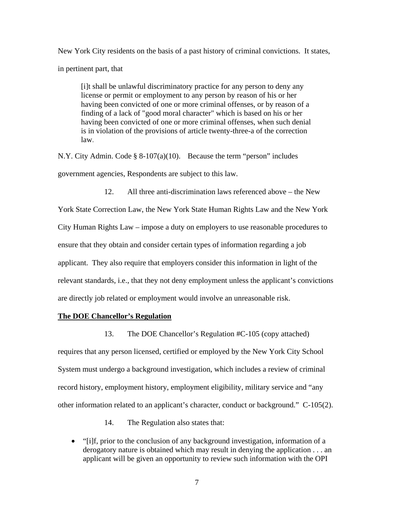New York City residents on the basis of a past history of criminal convictions. It states, in pertinent part, that

[i]t shall be unlawful discriminatory practice for any person to deny any license or permit or employment to any person by reason of his or her having been convicted of one or more criminal offenses, or by reason of a finding of a lack of "good moral character" which is based on his or her having been convicted of one or more criminal offenses, when such denial is in violation of the provisions of article twenty-three-a of the correction law.

N.Y. City Admin. Code § 8-107(a)(10). Because the term "person" includes government agencies, Respondents are subject to this law.

12. All three anti-discrimination laws referenced above – the New York State Correction Law, the New York State Human Rights Law and the New York City Human Rights Law – impose a duty on employers to use reasonable procedures to ensure that they obtain and consider certain types of information regarding a job applicant. They also require that employers consider this information in light of the relevant standards, i.e., that they not deny employment unless the applicant's convictions are directly job related or employment would involve an unreasonable risk.

### **The DOE Chancellor's Regulation**

13. The DOE Chancellor's Regulation #C-105 (copy attached)

requires that any person licensed, certified or employed by the New York City School System must undergo a background investigation, which includes a review of criminal record history, employment history, employment eligibility, military service and "any other information related to an applicant's character, conduct or background." C-105(2).

14. The Regulation also states that:

• "[i]f, prior to the conclusion of any background investigation, information of a derogatory nature is obtained which may result in denying the application . . . an applicant will be given an opportunity to review such information with the OPI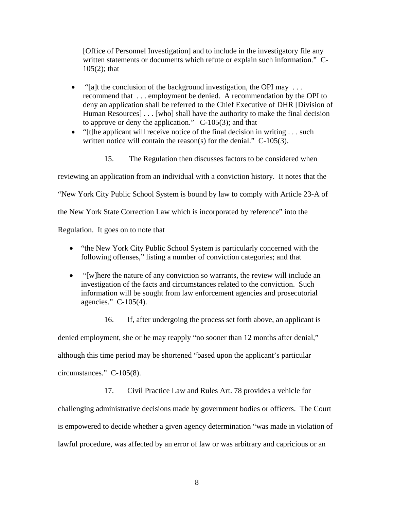[Office of Personnel Investigation] and to include in the investigatory file any written statements or documents which refute or explain such information." C-105(2); that

- "[a]t the conclusion of the background investigation, the OPI may ... recommend that . . . employment be denied. A recommendation by the OPI to deny an application shall be referred to the Chief Executive of DHR [Division of Human Resources] . . . [who] shall have the authority to make the final decision to approve or deny the application." C-105(3); and that
- "[t]he applicant will receive notice of the final decision in writing  $\dots$  such written notice will contain the reason(s) for the denial." C-105(3).
	- 15. The Regulation then discusses factors to be considered when

reviewing an application from an individual with a conviction history. It notes that the

"New York City Public School System is bound by law to comply with Article 23-A of

the New York State Correction Law which is incorporated by reference" into the

Regulation. It goes on to note that

- "the New York City Public School System is particularly concerned with the following offenses," listing a number of conviction categories; and that
- "[w]here the nature of any conviction so warrants, the review will include an investigation of the facts and circumstances related to the conviction. Such information will be sought from law enforcement agencies and prosecutorial agencies." C-105(4).

16. If, after undergoing the process set forth above, an applicant is denied employment, she or he may reapply "no sooner than 12 months after denial," although this time period may be shortened "based upon the applicant's particular circumstances." C-105(8).

17. Civil Practice Law and Rules Art. 78 provides a vehicle for challenging administrative decisions made by government bodies or officers. The Court is empowered to decide whether a given agency determination "was made in violation of lawful procedure, was affected by an error of law or was arbitrary and capricious or an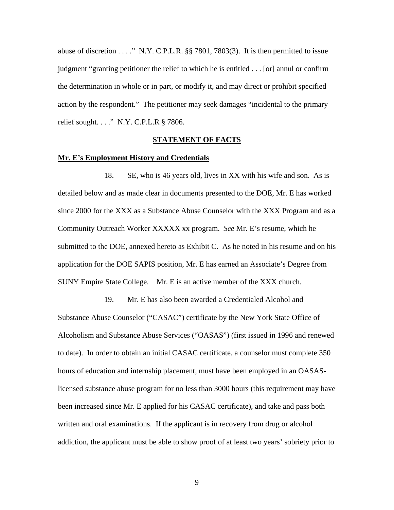abuse of discretion  $\dots$ ." N.Y. C.P.L.R. §§ 7801, 7803(3). It is then permitted to issue judgment "granting petitioner the relief to which he is entitled . . . [or] annul or confirm the determination in whole or in part, or modify it, and may direct or prohibit specified action by the respondent." The petitioner may seek damages "incidental to the primary relief sought. . . ." N.Y. C.P.L.R § 7806.

#### **STATEMENT OF FACTS**

### **Mr. E's Employment History and Credentials**

18. SE, who is 46 years old, lives in XX with his wife and son. As is detailed below and as made clear in documents presented to the DOE, Mr. E has worked since 2000 for the XXX as a Substance Abuse Counselor with the XXX Program and as a Community Outreach Worker XXXXX xx program. *See* Mr. E's resume, which he submitted to the DOE, annexed hereto as Exhibit C. As he noted in his resume and on his application for the DOE SAPIS position, Mr. E has earned an Associate's Degree from SUNY Empire State College. Mr. E is an active member of the XXX church.

19. Mr. E has also been awarded a Credentialed Alcohol and Substance Abuse Counselor ("CASAC") certificate by the New York State Office of Alcoholism and Substance Abuse Services ("OASAS") (first issued in 1996 and renewed to date). In order to obtain an initial CASAC certificate, a counselor must complete 350 hours of education and internship placement, must have been employed in an OASASlicensed substance abuse program for no less than 3000 hours (this requirement may have been increased since Mr. E applied for his CASAC certificate), and take and pass both written and oral examinations. If the applicant is in recovery from drug or alcohol addiction, the applicant must be able to show proof of at least two years' sobriety prior to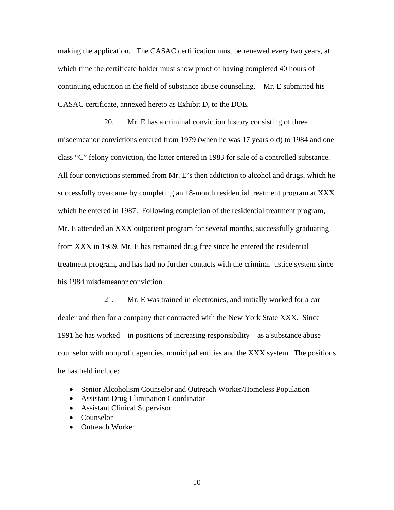making the application. The CASAC certification must be renewed every two years, at which time the certificate holder must show proof of having completed 40 hours of continuing education in the field of substance abuse counseling. Mr. E submitted his CASAC certificate, annexed hereto as Exhibit D, to the DOE.

20. Mr. E has a criminal conviction history consisting of three misdemeanor convictions entered from 1979 (when he was 17 years old) to 1984 and one class "C" felony conviction, the latter entered in 1983 for sale of a controlled substance. All four convictions stemmed from Mr. E's then addiction to alcohol and drugs, which he successfully overcame by completing an 18-month residential treatment program at XXX which he entered in 1987. Following completion of the residential treatment program, Mr. E attended an XXX outpatient program for several months, successfully graduating from XXX in 1989. Mr. E has remained drug free since he entered the residential treatment program, and has had no further contacts with the criminal justice system since his 1984 misdemeanor conviction.

21. Mr. E was trained in electronics, and initially worked for a car dealer and then for a company that contracted with the New York State XXX. Since 1991 he has worked – in positions of increasing responsibility – as a substance abuse counselor with nonprofit agencies, municipal entities and the XXX system. The positions he has held include:

- Senior Alcoholism Counselor and Outreach Worker/Homeless Population
- Assistant Drug Elimination Coordinator
- Assistant Clinical Supervisor
- Counselor
- Outreach Worker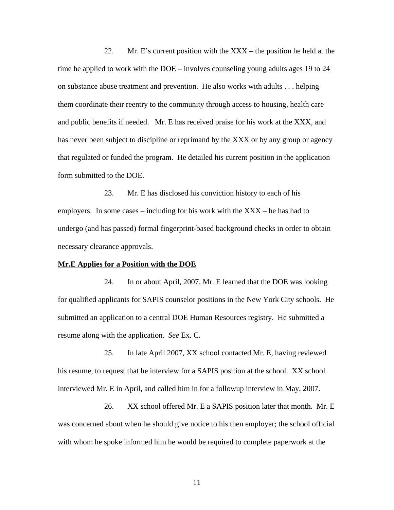22. Mr. E's current position with the XXX – the position he held at the time he applied to work with the DOE – involves counseling young adults ages 19 to 24 on substance abuse treatment and prevention. He also works with adults . . . helping them coordinate their reentry to the community through access to housing, health care and public benefits if needed. Mr. E has received praise for his work at the XXX, and has never been subject to discipline or reprimand by the XXX or by any group or agency that regulated or funded the program. He detailed his current position in the application form submitted to the DOE.

23. Mr. E has disclosed his conviction history to each of his employers. In some cases – including for his work with the XXX – he has had to undergo (and has passed) formal fingerprint-based background checks in order to obtain necessary clearance approvals.

#### **Mr.E Applies for a Position with the DOE**

24. In or about April, 2007, Mr. E learned that the DOE was looking for qualified applicants for SAPIS counselor positions in the New York City schools. He submitted an application to a central DOE Human Resources registry. He submitted a resume along with the application. *See* Ex. C.

25. In late April 2007, XX school contacted Mr. E, having reviewed his resume, to request that he interview for a SAPIS position at the school. XX school interviewed Mr. E in April, and called him in for a followup interview in May, 2007.

26. XX school offered Mr. E a SAPIS position later that month. Mr. E was concerned about when he should give notice to his then employer; the school official with whom he spoke informed him he would be required to complete paperwork at the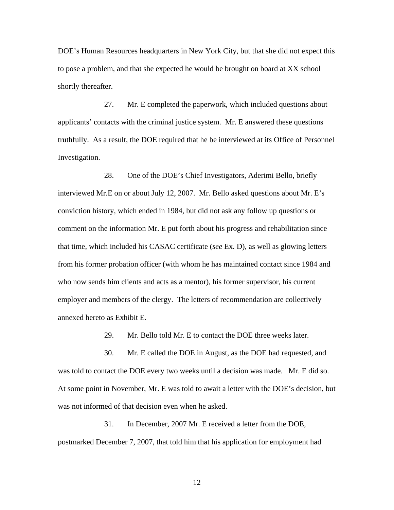DOE's Human Resources headquarters in New York City, but that she did not expect this to pose a problem, and that she expected he would be brought on board at XX school shortly thereafter.

27. Mr. E completed the paperwork, which included questions about applicants' contacts with the criminal justice system. Mr. E answered these questions truthfully. As a result, the DOE required that he be interviewed at its Office of Personnel Investigation.

28. One of the DOE's Chief Investigators, Aderimi Bello, briefly interviewed Mr.E on or about July 12, 2007. Mr. Bello asked questions about Mr. E's conviction history, which ended in 1984, but did not ask any follow up questions or comment on the information Mr. E put forth about his progress and rehabilitation since that time, which included his CASAC certificate (*see* Ex. D), as well as glowing letters from his former probation officer (with whom he has maintained contact since 1984 and who now sends him clients and acts as a mentor), his former supervisor, his current employer and members of the clergy. The letters of recommendation are collectively annexed hereto as Exhibit E.

29. Mr. Bello told Mr. E to contact the DOE three weeks later.

30. Mr. E called the DOE in August, as the DOE had requested, and was told to contact the DOE every two weeks until a decision was made. Mr. E did so. At some point in November, Mr. E was told to await a letter with the DOE's decision, but was not informed of that decision even when he asked.

31. In December, 2007 Mr. E received a letter from the DOE, postmarked December 7, 2007, that told him that his application for employment had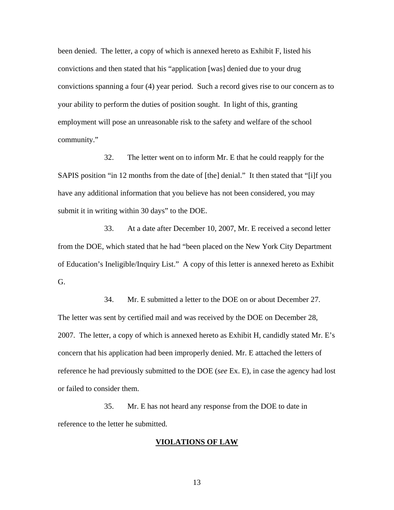been denied. The letter, a copy of which is annexed hereto as Exhibit F, listed his convictions and then stated that his "application [was] denied due to your drug convictions spanning a four (4) year period. Such a record gives rise to our concern as to your ability to perform the duties of position sought. In light of this, granting employment will pose an unreasonable risk to the safety and welfare of the school community."

32. The letter went on to inform Mr. E that he could reapply for the SAPIS position "in 12 months from the date of [the] denial." It then stated that "[i]f you have any additional information that you believe has not been considered, you may submit it in writing within 30 days" to the DOE.

33. At a date after December 10, 2007, Mr. E received a second letter from the DOE, which stated that he had "been placed on the New York City Department of Education's Ineligible/Inquiry List." A copy of this letter is annexed hereto as Exhibit G.

34. Mr. E submitted a letter to the DOE on or about December 27. The letter was sent by certified mail and was received by the DOE on December 28, 2007. The letter, a copy of which is annexed hereto as Exhibit H, candidly stated Mr. E's concern that his application had been improperly denied. Mr. E attached the letters of reference he had previously submitted to the DOE (*see* Ex. E), in case the agency had lost or failed to consider them.

35. Mr. E has not heard any response from the DOE to date in reference to the letter he submitted.

#### **VIOLATIONS OF LAW**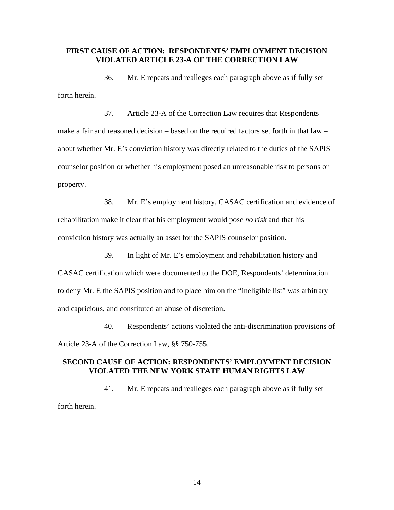# **FIRST CAUSE OF ACTION: RESPONDENTS' EMPLOYMENT DECISION VIOLATED ARTICLE 23-A OF THE CORRECTION LAW**

36. Mr. E repeats and realleges each paragraph above as if fully set forth herein.

37. Article 23-A of the Correction Law requires that Respondents make a fair and reasoned decision – based on the required factors set forth in that law – about whether Mr. E's conviction history was directly related to the duties of the SAPIS counselor position or whether his employment posed an unreasonable risk to persons or property.

38. Mr. E's employment history, CASAC certification and evidence of rehabilitation make it clear that his employment would pose *no risk* and that his conviction history was actually an asset for the SAPIS counselor position.

39. In light of Mr. E's employment and rehabilitation history and CASAC certification which were documented to the DOE, Respondents' determination to deny Mr. E the SAPIS position and to place him on the "ineligible list" was arbitrary and capricious, and constituted an abuse of discretion.

40. Respondents' actions violated the anti-discrimination provisions of Article 23-A of the Correction Law, §§ 750-755.

# **SECOND CAUSE OF ACTION: RESPONDENTS' EMPLOYMENT DECISION VIOLATED THE NEW YORK STATE HUMAN RIGHTS LAW**

41. Mr. E repeats and realleges each paragraph above as if fully set forth herein.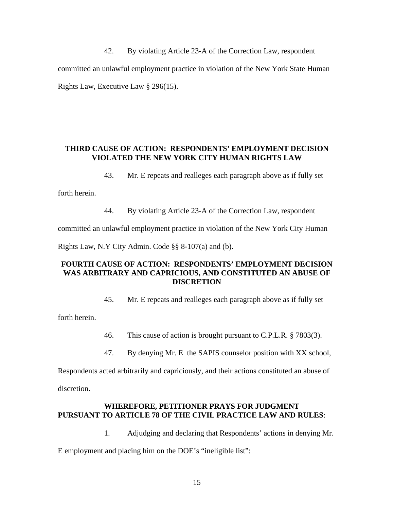42. By violating Article 23-A of the Correction Law, respondent committed an unlawful employment practice in violation of the New York State Human Rights Law, Executive Law § 296(15).

# **THIRD CAUSE OF ACTION: RESPONDENTS' EMPLOYMENT DECISION VIOLATED THE NEW YORK CITY HUMAN RIGHTS LAW**

43. Mr. E repeats and realleges each paragraph above as if fully set

forth herein.

44. By violating Article 23-A of the Correction Law, respondent

committed an unlawful employment practice in violation of the New York City Human

Rights Law, N.Y City Admin. Code §§ 8-107(a) and (b).

# **FOURTH CAUSE OF ACTION: RESPONDENTS' EMPLOYMENT DECISION WAS ARBITRARY AND CAPRICIOUS, AND CONSTITUTED AN ABUSE OF DISCRETION**

45. Mr. E repeats and realleges each paragraph above as if fully set

forth herein.

46. This cause of action is brought pursuant to C.P.L.R. § 7803(3).

47. By denying Mr. E the SAPIS counselor position with XX school,

Respondents acted arbitrarily and capriciously, and their actions constituted an abuse of

discretion.

# **WHEREFORE, PETITIONER PRAYS FOR JUDGMENT PURSUANT TO ARTICLE 78 OF THE CIVIL PRACTICE LAW AND RULES**:

1. Adjudging and declaring that Respondents' actions in denying Mr.

E employment and placing him on the DOE's "ineligible list":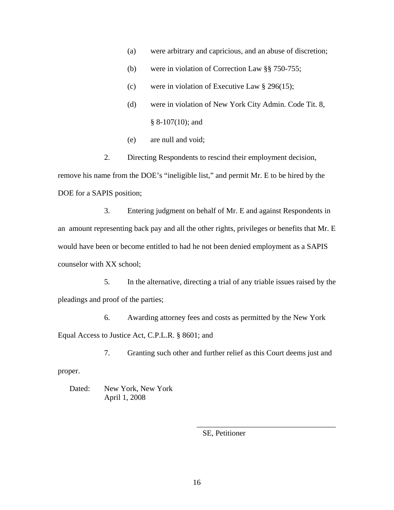- (a) were arbitrary and capricious, and an abuse of discretion;
- (b) were in violation of Correction Law §§ 750-755;
- (c) were in violation of Executive Law  $\S$  296(15);
- (d) were in violation of New York City Admin. Code Tit. 8,  $§ 8-107(10);$  and
- (e) are null and void;

 2. Directing Respondents to rescind their employment decision, remove his name from the DOE's "ineligible list," and permit Mr. E to be hired by the DOE for a SAPIS position;

3. Entering judgment on behalf of Mr. E and against Respondents in an amount representing back pay and all the other rights, privileges or benefits that Mr. E would have been or become entitled to had he not been denied employment as a SAPIS counselor with XX school;

5. In the alternative, directing a trial of any triable issues raised by the pleadings and proof of the parties;

6. Awarding attorney fees and costs as permitted by the New York Equal Access to Justice Act, C.P.L.R. § 8601; and

7. Granting such other and further relief as this Court deems just and

proper.

Dated: New York, New York April 1, 2008

SE, Petitioner

 $\frac{1}{\sqrt{2}}$  ,  $\frac{1}{\sqrt{2}}$  ,  $\frac{1}{\sqrt{2}}$  ,  $\frac{1}{\sqrt{2}}$  ,  $\frac{1}{\sqrt{2}}$  ,  $\frac{1}{\sqrt{2}}$  ,  $\frac{1}{\sqrt{2}}$  ,  $\frac{1}{\sqrt{2}}$  ,  $\frac{1}{\sqrt{2}}$  ,  $\frac{1}{\sqrt{2}}$  ,  $\frac{1}{\sqrt{2}}$  ,  $\frac{1}{\sqrt{2}}$  ,  $\frac{1}{\sqrt{2}}$  ,  $\frac{1}{\sqrt{2}}$  ,  $\frac{1}{\sqrt{2}}$